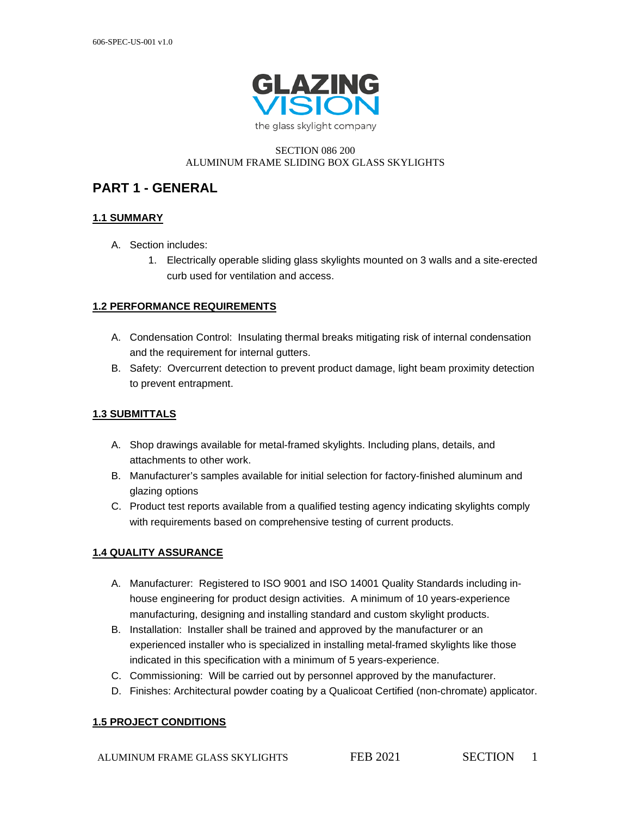

#### SECTION 086 200 ALUMINUM FRAME SLIDING BOX GLASS SKYLIGHTS

## **PART 1 - GENERAL**

### **1.1 SUMMARY**

- A. Section includes:
	- 1. Electrically operable sliding glass skylights mounted on 3 walls and a site-erected curb used for ventilation and access.

#### **1.2 PERFORMANCE REQUIREMENTS**

- A. Condensation Control: Insulating thermal breaks mitigating risk of internal condensation and the requirement for internal gutters.
- B. Safety: Overcurrent detection to prevent product damage, light beam proximity detection to prevent entrapment.

### **1.3 SUBMITTALS**

- A. Shop drawings available for metal-framed skylights. Including plans, details, and attachments to other work.
- B. Manufacturer's samples available for initial selection for factory-finished aluminum and glazing options
- C. Product test reports available from a qualified testing agency indicating skylights comply with requirements based on comprehensive testing of current products.

### **1.4 QUALITY ASSURANCE**

- A. Manufacturer: Registered to ISO 9001 and ISO 14001 Quality Standards including inhouse engineering for product design activities. A minimum of 10 years-experience manufacturing, designing and installing standard and custom skylight products.
- B. Installation: Installer shall be trained and approved by the manufacturer or an experienced installer who is specialized in installing metal-framed skylights like those indicated in this specification with a minimum of 5 years-experience.
- C. Commissioning: Will be carried out by personnel approved by the manufacturer.
- D. Finishes: Architectural powder coating by a Qualicoat Certified (non-chromate) applicator.

### **1.5 PROJECT CONDITIONS**

ALUMINUM FRAME GLASS SKYLIGHTS FEB 2021 SECTION 1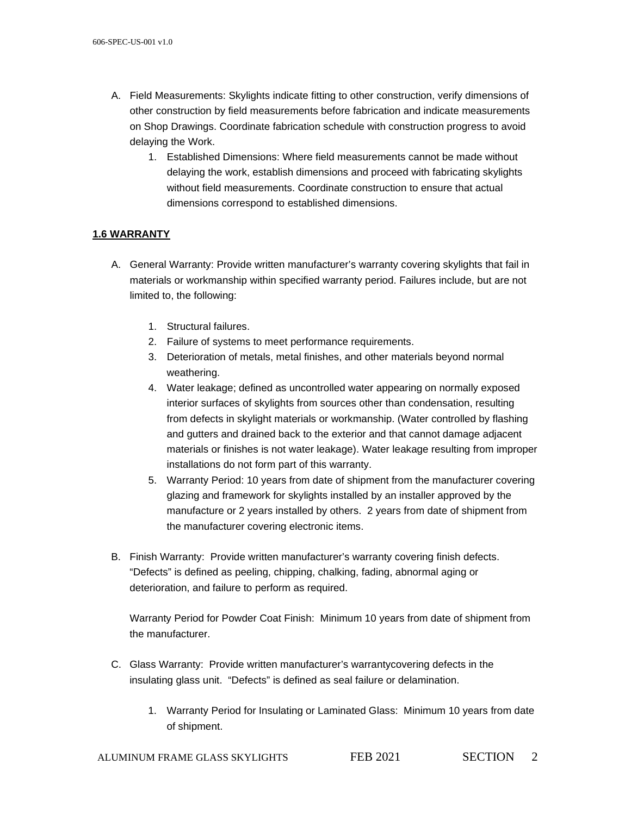- A. Field Measurements: Skylights indicate fitting to other construction, verify dimensions of other construction by field measurements before fabrication and indicate measurements on Shop Drawings. Coordinate fabrication schedule with construction progress to avoid delaying the Work.
	- 1. Established Dimensions: Where field measurements cannot be made without delaying the work, establish dimensions and proceed with fabricating skylights without field measurements. Coordinate construction to ensure that actual dimensions correspond to established dimensions.

## **1.6 WARRANTY**

- A. General Warranty: Provide written manufacturer's warranty covering skylights that fail in materials or workmanship within specified warranty period. Failures include, but are not limited to, the following:
	- 1. Structural failures.
	- 2. Failure of systems to meet performance requirements.
	- 3. Deterioration of metals, metal finishes, and other materials beyond normal weathering.
	- 4. Water leakage; defined as uncontrolled water appearing on normally exposed interior surfaces of skylights from sources other than condensation, resulting from defects in skylight materials or workmanship. (Water controlled by flashing and gutters and drained back to the exterior and that cannot damage adjacent materials or finishes is not water leakage). Water leakage resulting from improper installations do not form part of this warranty.
	- 5. Warranty Period: 10 years from date of shipment from the manufacturer covering glazing and framework for skylights installed by an installer approved by the manufacture or 2 years installed by others. 2 years from date of shipment from the manufacturer covering electronic items.
- B. Finish Warranty: Provide written manufacturer's warranty covering finish defects. "Defects" is defined as peeling, chipping, chalking, fading, abnormal aging or deterioration, and failure to perform as required.

Warranty Period for Powder Coat Finish: Minimum 10 years from date of shipment from the manufacturer.

- C. Glass Warranty: Provide written manufacturer's warrantycovering defects in the insulating glass unit. "Defects" is defined as seal failure or delamination.
	- 1. Warranty Period for Insulating or Laminated Glass: Minimum 10 years from date of shipment.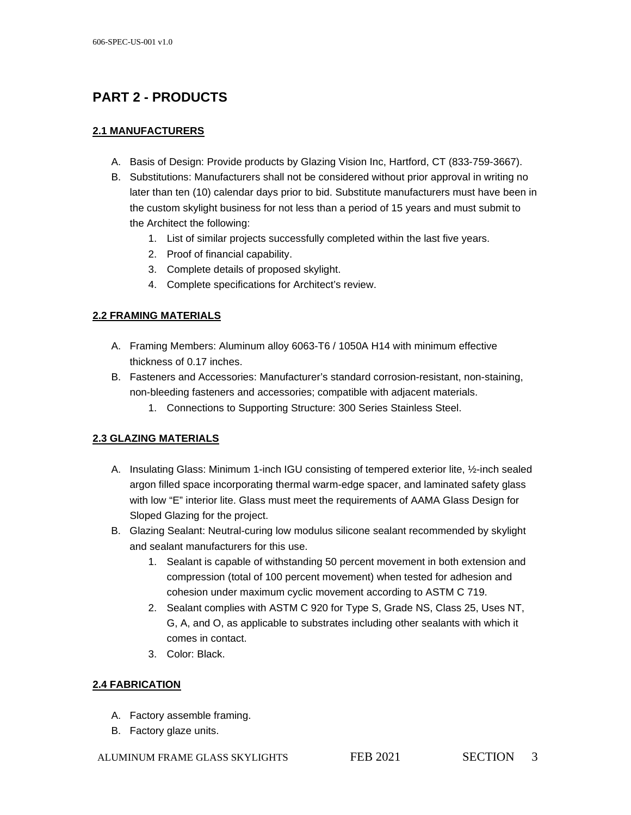# **PART 2 - PRODUCTS**

## **2.1 MANUFACTURERS**

- A. Basis of Design: Provide products by Glazing Vision Inc, Hartford, CT (833-759-3667).
- B. Substitutions: Manufacturers shall not be considered without prior approval in writing no later than ten (10) calendar days prior to bid. Substitute manufacturers must have been in the custom skylight business for not less than a period of 15 years and must submit to the Architect the following:
	- 1. List of similar projects successfully completed within the last five years.
	- 2. Proof of financial capability.
	- 3. Complete details of proposed skylight.
	- 4. Complete specifications for Architect's review.

## **2.2 FRAMING MATERIALS**

- A. Framing Members: Aluminum alloy 6063-T6 / 1050A H14 with minimum effective thickness of 0.17 inches.
- B. Fasteners and Accessories: Manufacturer's standard corrosion-resistant, non-staining, non-bleeding fasteners and accessories; compatible with adjacent materials.
	- 1. Connections to Supporting Structure: 300 Series Stainless Steel.

## **2.3 GLAZING MATERIALS**

- A. Insulating Glass: Minimum 1-inch IGU consisting of tempered exterior lite, ½-inch sealed argon filled space incorporating thermal warm-edge spacer, and laminated safety glass with low "E" interior lite. Glass must meet the requirements of AAMA Glass Design for Sloped Glazing for the project.
- B. Glazing Sealant: Neutral-curing low modulus silicone sealant recommended by skylight and sealant manufacturers for this use.
	- 1. Sealant is capable of withstanding 50 percent movement in both extension and compression (total of 100 percent movement) when tested for adhesion and cohesion under maximum cyclic movement according to ASTM C 719.
	- 2. Sealant complies with ASTM C 920 for Type S, Grade NS, Class 25, Uses NT, G, A, and O, as applicable to substrates including other sealants with which it comes in contact.
	- 3. Color: Black.

## **2.4 FABRICATION**

- A. Factory assemble framing.
- B. Factory glaze units.

ALUMINUM FRAME GLASS SKYLIGHTS FEB 2021 SECTION 3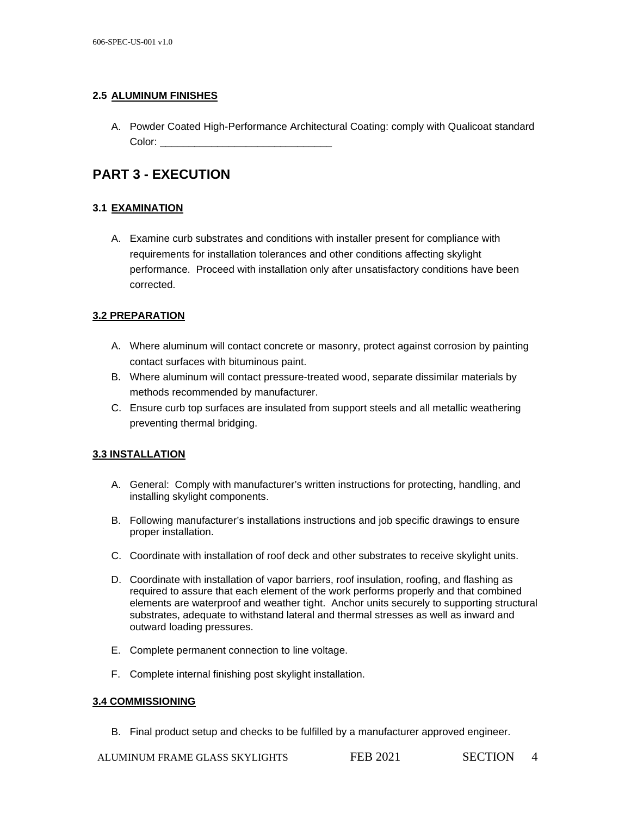### **2.5 ALUMINUM FINISHES**

A. Powder Coated High-Performance Architectural Coating: comply with Qualicoat standard Color:

## **PART 3 - EXECUTION**

## **3.1 EXAMINATION**

A. Examine curb substrates and conditions with installer present for compliance with requirements for installation tolerances and other conditions affecting skylight performance. Proceed with installation only after unsatisfactory conditions have been corrected.

## **3.2 PREPARATION**

- A. Where aluminum will contact concrete or masonry, protect against corrosion by painting contact surfaces with bituminous paint.
- B. Where aluminum will contact pressure-treated wood, separate dissimilar materials by methods recommended by manufacturer.
- C. Ensure curb top surfaces are insulated from support steels and all metallic weathering preventing thermal bridging.

### **3.3 INSTALLATION**

- A. General: Comply with manufacturer's written instructions for protecting, handling, and installing skylight components.
- B. Following manufacturer's installations instructions and job specific drawings to ensure proper installation.
- C. Coordinate with installation of roof deck and other substrates to receive skylight units.
- D. Coordinate with installation of vapor barriers, roof insulation, roofing, and flashing as required to assure that each element of the work performs properly and that combined elements are waterproof and weather tight. Anchor units securely to supporting structural substrates, adequate to withstand lateral and thermal stresses as well as inward and outward loading pressures.
- E. Complete permanent connection to line voltage.
- F. Complete internal finishing post skylight installation.

### **3.4 COMMISSIONING**

B. Final product setup and checks to be fulfilled by a manufacturer approved engineer.

ALUMINUM FRAME GLASS SKYLIGHTS FEB 2021 SECTION 4